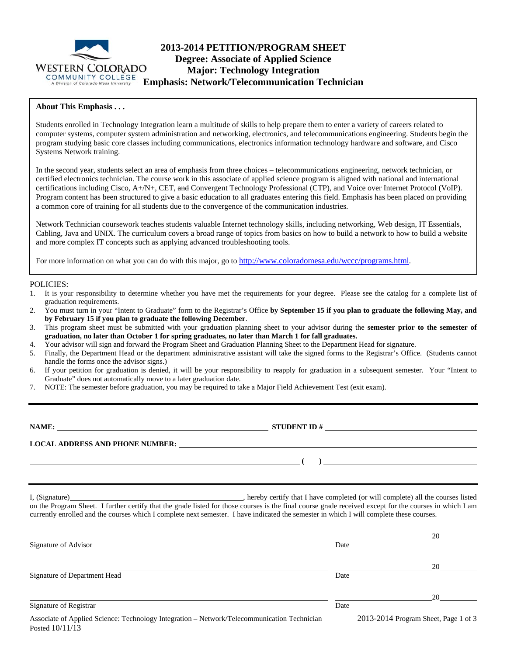

# **2013-2014 PETITION/PROGRAM SHEET Degree: Associate of Applied Science Major: Technology Integration Emphasis: Network/Telecommunication Technician**

### **About This Emphasis . . .**

Students enrolled in Technology Integration learn a multitude of skills to help prepare them to enter a variety of careers related to computer systems, computer system administration and networking, electronics, and telecommunications engineering. Students begin the program studying basic core classes including communications, electronics information technology hardware and software, and Cisco Systems Network training.

In the second year, students select an area of emphasis from three choices – telecommunications engineering, network technician, or certified electronics technician. The course work in this associate of applied science program is aligned with national and international certifications including Cisco, A+/N+, CET, and Convergent Technology Professional (CTP), and Voice over Internet Protocol (VoIP). Program content has been structured to give a basic education to all graduates entering this field. Emphasis has been placed on providing a common core of training for all students due to the convergence of the communication industries.

Network Technician coursework teaches students valuable Internet technology skills, including networking, Web design, IT Essentials, Cabling, Java and UNIX. The curriculum covers a broad range of topics from basics on how to build a network to how to build a website and more complex IT concepts such as applying advanced troubleshooting tools.

For more information on what you can do with this major, go to http://www.coloradomesa.edu/wccc/programs.html.

#### POLICIES:

- 1. It is your responsibility to determine whether you have met the requirements for your degree. Please see the catalog for a complete list of graduation requirements.
- 2. You must turn in your "Intent to Graduate" form to the Registrar's Office **by September 15 if you plan to graduate the following May, and by February 15 if you plan to graduate the following December**.
- 3. This program sheet must be submitted with your graduation planning sheet to your advisor during the **semester prior to the semester of graduation, no later than October 1 for spring graduates, no later than March 1 for fall graduates.**
- 4. Your advisor will sign and forward the Program Sheet and Graduation Planning Sheet to the Department Head for signature.
- 5. Finally, the Department Head or the department administrative assistant will take the signed forms to the Registrar's Office. (Students cannot handle the forms once the advisor signs.)
- 6. If your petition for graduation is denied, it will be your responsibility to reapply for graduation in a subsequent semester. Your "Intent to Graduate" does not automatically move to a later graduation date.
- 7. NOTE: The semester before graduation, you may be required to take a Major Field Achievement Test (exit exam).

**NAME: STUDENT ID #**

**LOCAL ADDRESS AND PHONE NUMBER:**

I, (Signature) , hereby certify that I have completed (or will complete) all the courses listed

 **( )** 

on the Program Sheet. I further certify that the grade listed for those courses is the final course grade received except for the courses in which I am currently enrolled and the courses which I complete next semester. I have indicated the semester in which I will complete these courses.

|                                                   |      | 20                                            |
|---------------------------------------------------|------|-----------------------------------------------|
| Signature of Advisor                              | Date |                                               |
|                                                   |      | 20                                            |
| Signature of Department Head                      | Date |                                               |
|                                                   |      | 20                                            |
| Signature of Registrar                            | Date |                                               |
| A face a time to the task of Marine to the mother |      | $2012.2014 \text{ p}$ $61.7 \text{ p}$ $1.62$ |

Associate of Applied Science: Technology Integration – Network/Telecommunication Technician 2013-2014 Program Sheet, Page 1 of 3 Posted 10/11/13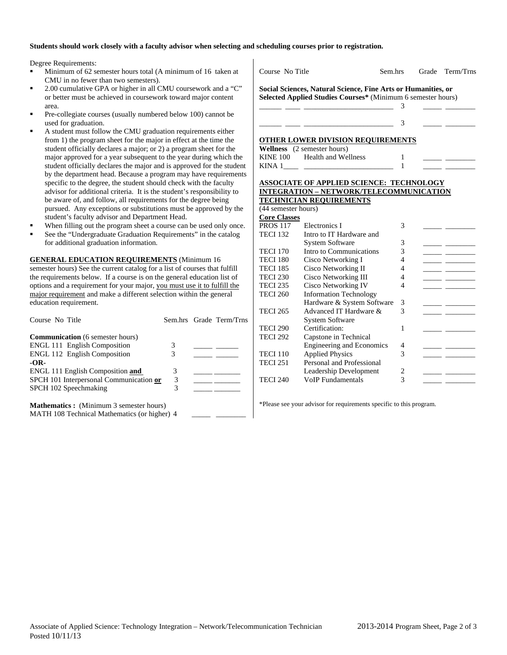#### **Students should work closely with a faculty advisor when selecting and scheduling courses prior to registration.**

 $\mathbf{I}$ 

Degree Requirements:

- Minimum of 62 semester hours total (A minimum of 16 taken at CMU in no fewer than two semesters).
- 2.00 cumulative GPA or higher in all CMU coursework and a "C" or better must be achieved in coursework toward major content area.
- Pre-collegiate courses (usually numbered below 100) cannot be used for graduation.
- A student must follow the CMU graduation requirements either from 1) the program sheet for the major in effect at the time the student officially declares a major; or 2) a program sheet for the major approved for a year subsequent to the year during which the student officially declares the major and is approved for the student by the department head. Because a program may have requirements specific to the degree, the student should check with the faculty advisor for additional criteria. It is the student's responsibility to be aware of, and follow, all requirements for the degree being pursued. Any exceptions or substitutions must be approved by the student's faculty advisor and Department Head.
- When filling out the program sheet a course can be used only once.
- See the "Undergraduate Graduation Requirements" in the catalog for additional graduation information.

**GENERAL EDUCATION REQUIREMENTS** (Minimum 16 semester hours) See the current catalog for a list of courses that fulfill the requirements below. If a course is on the general education list of options and a requirement for your major, you must use it to fulfill the major requirement and make a different selection within the general education requirement.

| Course No Title                                                             |   | Sem.hrs Grade Term/Trns |
|-----------------------------------------------------------------------------|---|-------------------------|
| <b>Communication</b> (6 semester hours)                                     | 3 |                         |
| <b>ENGL 111 English Composition</b><br><b>ENGL 112 English Composition</b>  | 3 |                         |
| $-OR-$                                                                      | 3 |                         |
| ENGL 111 English Composition and<br>SPCH 101 Interpersonal Communication or | 3 |                         |
| SPCH 102 Speechmaking                                                       | 3 |                         |
| <b>Mathematics:</b> (Minimum 3 semester hours)                              |   |                         |
| MATH 108 Technical Mathematics (or higher) 4                                |   |                         |

| Course No Title     |                                                               | Sem.hrs                 | Grade | Term/Trns |
|---------------------|---------------------------------------------------------------|-------------------------|-------|-----------|
|                     | Social Sciences, Natural Science, Fine Arts or Humanities, or |                         |       |           |
|                     | Selected Applied Studies Courses* (Minimum 6 semester hours)  |                         |       |           |
|                     |                                                               | 3                       |       |           |
|                     |                                                               |                         |       |           |
|                     |                                                               | 3                       |       |           |
|                     | <b>OTHER LOWER DIVISION REQUIREMENTS</b>                      |                         |       |           |
|                     | Wellness (2 semester hours)                                   |                         |       |           |
|                     | KINE 100 Health and Wellness                                  | 1                       |       |           |
|                     |                                                               | 1                       |       |           |
|                     |                                                               |                         |       |           |
|                     | <b>ASSOCIATE OF APPLIED SCIENCE: TECHNOLOGY</b>               |                         |       |           |
|                     | INTEGRATION - NETWORK/TELECOMMUNICATION                       |                         |       |           |
|                     | <b>TECHNICIAN REQUIREMENTS</b>                                |                         |       |           |
| (44 semester hours) |                                                               |                         |       |           |
| <b>Core Classes</b> |                                                               |                         |       |           |
| <b>PROS 117</b>     | Electronics I                                                 | 3                       |       |           |
| <b>TECI 132</b>     | Intro to IT Hardware and                                      |                         |       |           |
|                     | <b>System Software</b>                                        | 3                       |       |           |
| <b>TECI 170</b>     | Intro to Communications                                       | 3                       |       |           |
| <b>TECI 180</b>     | Cisco Networking I                                            | 4                       |       |           |
| <b>TECI 185</b>     | Cisco Networking II                                           | 4                       |       |           |
| <b>TECI 230</b>     | Cisco Networking III                                          | 4                       |       |           |
| <b>TECI 235</b>     | Cisco Networking IV                                           | 4                       |       |           |
| <b>TECI 260</b>     | <b>Information Technology</b>                                 |                         |       |           |
|                     | Hardware & System Software                                    | 3                       |       |           |
| <b>TECI 265</b>     | Advanced IT Hardware &                                        | 3                       |       |           |
|                     | <b>System Software</b>                                        |                         |       |           |
| <b>TECI 290</b>     | Certification:                                                | 1                       |       |           |
| <b>TECI 292</b>     | Capstone in Technical                                         |                         |       |           |
|                     | <b>Engineering and Economics</b>                              | 4                       |       |           |
| <b>TECI 110</b>     | <b>Applied Physics</b>                                        | 3                       |       |           |
| <b>TECI 251</b>     | Personal and Professional                                     |                         |       |           |
|                     | Leadership Development                                        | $\overline{\mathbf{c}}$ |       |           |
| <b>TECI 240</b>     | <b>VoIP</b> Fundamentals                                      | 3                       |       |           |

\*Please see your advisor for requirements specific to this program.